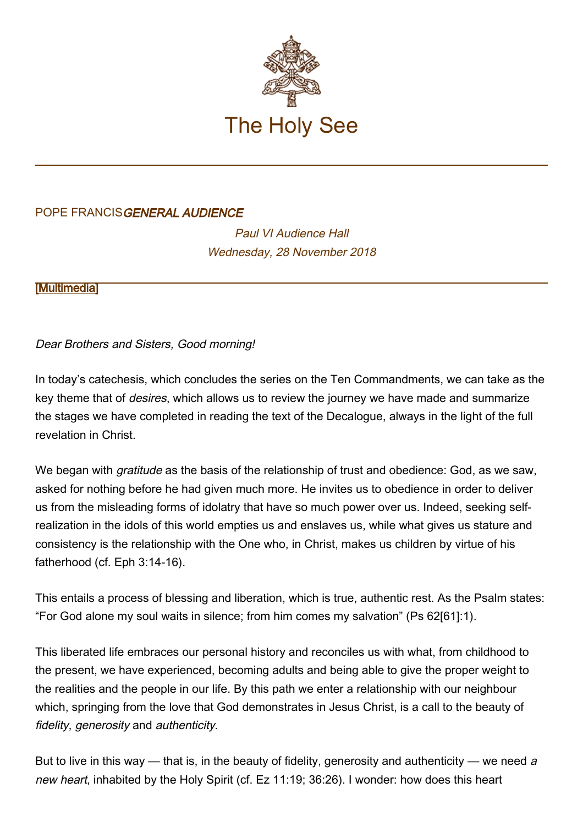

## POPE FRANCISGENERAL AUDIENCE

Paul VI Audience Hall Wednesday, 28 November 2018

**[\[Multimedia](http://w2.vatican.va/content/francesco/en/events/event.dir.html/content/vaticanevents/en/2018/11/28/udienzagenerale.html)]** 

## Dear Brothers and Sisters, Good morning!

In today's catechesis, which concludes the series on the Ten Commandments, we can take as the key theme that of desires, which allows us to review the journey we have made and summarize the stages we have completed in reading the text of the Decalogue, always in the light of the full revelation in Christ.

We began with *gratitude* as the basis of the relationship of trust and obedience: God, as we saw, asked for nothing before he had given much more. He invites us to obedience in order to deliver us from the misleading forms of idolatry that have so much power over us. Indeed, seeking selfrealization in the idols of this world empties us and enslaves us, while what gives us stature and consistency is the relationship with the One who, in Christ, makes us children by virtue of his fatherhood (cf. Eph 3:14-16).

This entails a process of blessing and liberation, which is true, authentic rest. As the Psalm states: "For God alone my soul waits in silence; from him comes my salvation" (Ps 62[61]:1).

This liberated life embraces our personal history and reconciles us with what, from childhood to the present, we have experienced, becoming adults and being able to give the proper weight to the realities and the people in our life. By this path we enter a relationship with our neighbour which, springing from the love that God demonstrates in Jesus Christ, is a call to the beauty of fidelity, generosity and authenticity.

But to live in this way — that is, in the beauty of fidelity, generosity and authenticity — we need a new heart, inhabited by the Holy Spirit (cf. Ez 11:19; 36:26). I wonder: how does this heart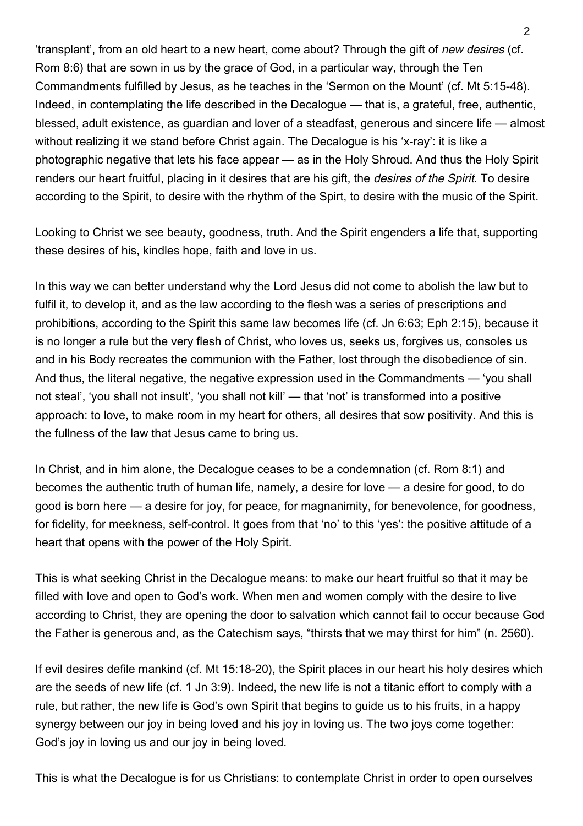'transplant', from an old heart to a new heart, come about? Through the gift of new desires (cf. Rom 8:6) that are sown in us by the grace of God, in a particular way, through the Ten Commandments fulfilled by Jesus, as he teaches in the 'Sermon on the Mount' (cf. Mt 5:15-48). Indeed, in contemplating the life described in the Decalogue — that is, a grateful, free, authentic, blessed, adult existence, as guardian and lover of a steadfast, generous and sincere life — almost without realizing it we stand before Christ again. The Decalogue is his 'x-ray': it is like a photographic negative that lets his face appear — as in the Holy Shroud. And thus the Holy Spirit renders our heart fruitful, placing in it desires that are his gift, the desires of the Spirit. To desire according to the Spirit, to desire with the rhythm of the Spirt, to desire with the music of the Spirit.

Looking to Christ we see beauty, goodness, truth. And the Spirit engenders a life that, supporting these desires of his, kindles hope, faith and love in us.

In this way we can better understand why the Lord Jesus did not come to abolish the law but to fulfil it, to develop it, and as the law according to the flesh was a series of prescriptions and prohibitions, according to the Spirit this same law becomes life (cf. Jn 6:63; Eph 2:15), because it is no longer a rule but the very flesh of Christ, who loves us, seeks us, forgives us, consoles us and in his Body recreates the communion with the Father, lost through the disobedience of sin. And thus, the literal negative, the negative expression used in the Commandments — 'you shall not steal', 'you shall not insult', 'you shall not kill' — that 'not' is transformed into a positive approach: to love, to make room in my heart for others, all desires that sow positivity. And this is the fullness of the law that Jesus came to bring us.

In Christ, and in him alone, the Decalogue ceases to be a condemnation (cf. Rom 8:1) and becomes the authentic truth of human life, namely, a desire for love — a desire for good, to do good is born here — a desire for joy, for peace, for magnanimity, for benevolence, for goodness, for fidelity, for meekness, self-control. It goes from that 'no' to this 'yes': the positive attitude of a heart that opens with the power of the Holy Spirit.

This is what seeking Christ in the Decalogue means: to make our heart fruitful so that it may be filled with love and open to God's work. When men and women comply with the desire to live according to Christ, they are opening the door to salvation which cannot fail to occur because God the Father is generous and, as the Catechism says, "thirsts that we may thirst for him" (n. 2560).

If evil desires defile mankind (cf. Mt 15:18-20), the Spirit places in our heart his holy desires which are the seeds of new life (cf. 1 Jn 3:9). Indeed, the new life is not a titanic effort to comply with a rule, but rather, the new life is God's own Spirit that begins to guide us to his fruits, in a happy synergy between our joy in being loved and his joy in loving us. The two joys come together: God's joy in loving us and our joy in being loved.

This is what the Decalogue is for us Christians: to contemplate Christ in order to open ourselves